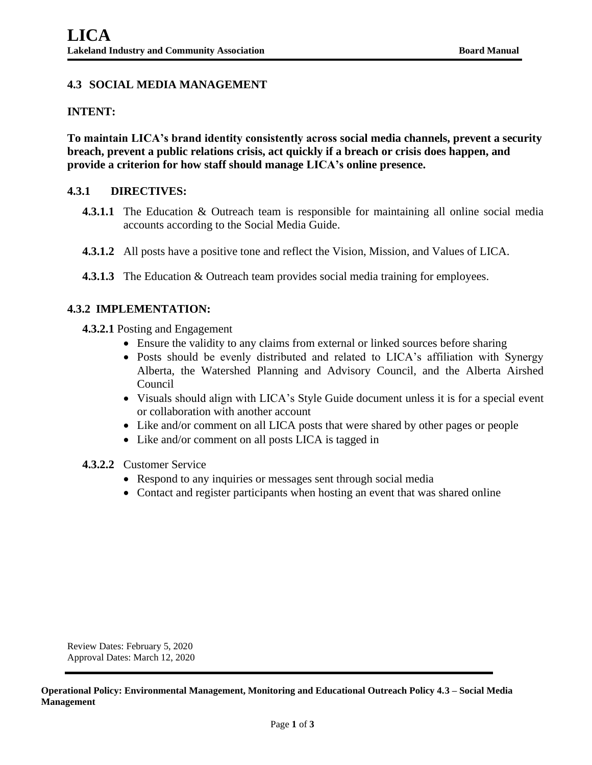## **4.3 SOCIAL MEDIA MANAGEMENT**

#### **INTENT:**

**To maintain LICA's brand identity consistently across social media channels, prevent a security breach, prevent a public relations crisis, act quickly if a breach or crisis does happen, and provide a criterion for how staff should manage LICA's online presence.**

#### **4.3.1 DIRECTIVES:**

- **4.3.1.1** The Education & Outreach team is responsible for maintaining all online social media accounts according to the Social Media Guide.
- **4.3.1.2** All posts have a positive tone and reflect the Vision, Mission, and Values of LICA.
- **4.3.1.3** The Education & Outreach team provides social media training for employees.

### **4.3.2 IMPLEMENTATION:**

- **4.3.2.1** Posting and Engagement
	- Ensure the validity to any claims from external or linked sources before sharing
	- Posts should be evenly distributed and related to LICA's affiliation with Synergy Alberta, the Watershed Planning and Advisory Council, and the Alberta Airshed Council
	- Visuals should align with LICA's Style Guide document unless it is for a special event or collaboration with another account
	- Like and/or comment on all LICA posts that were shared by other pages or people
	- Like and/or comment on all posts LICA is tagged in
- **4.3.2.2** Customer Service
	- Respond to any inquiries or messages sent through social media
	- Contact and register participants when hosting an event that was shared online

Review Dates: February 5, 2020 Approval Dates: March 12, 2020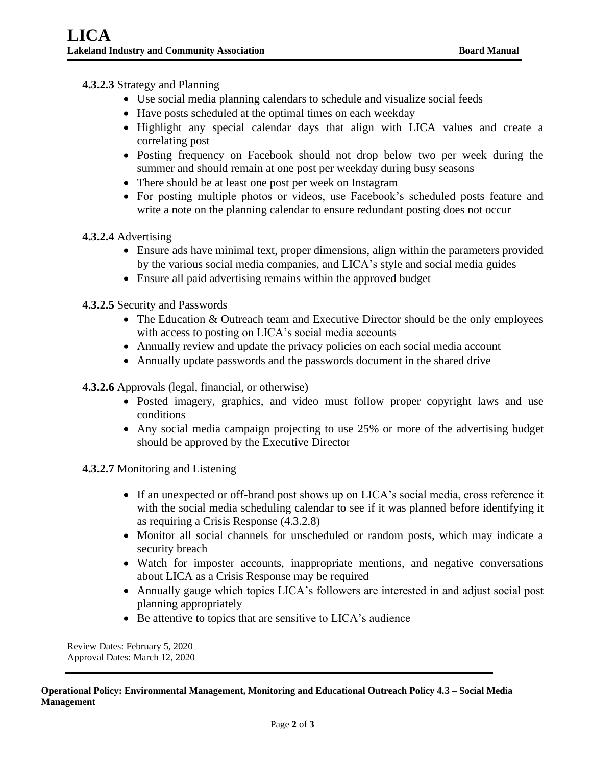# **4.3.2.3** Strategy and Planning

- Use social media planning calendars to schedule and visualize social feeds
- Have posts scheduled at the optimal times on each weekday
- Highlight any special calendar days that align with LICA values and create a correlating post
- Posting frequency on Facebook should not drop below two per week during the summer and should remain at one post per weekday during busy seasons
- There should be at least one post per week on Instagram
- For posting multiple photos or videos, use Facebook's scheduled posts feature and write a note on the planning calendar to ensure redundant posting does not occur

### **4.3.2.4** Advertising

- Ensure ads have minimal text, proper dimensions, align within the parameters provided by the various social media companies, and LICA's style and social media guides
- Ensure all paid advertising remains within the approved budget
- **4.3.2.5** Security and Passwords
	- The Education & Outreach team and Executive Director should be the only employees with access to posting on LICA's social media accounts
	- Annually review and update the privacy policies on each social media account
	- Annually update passwords and the passwords document in the shared drive

**4.3.2.6** Approvals (legal, financial, or otherwise)

- Posted imagery, graphics, and video must follow proper copyright laws and use conditions
- Any social media campaign projecting to use 25% or more of the advertising budget should be approved by the Executive Director

**4.3.2.7** Monitoring and Listening

- If an unexpected or off-brand post shows up on LICA's social media, cross reference it with the social media scheduling calendar to see if it was planned before identifying it as requiring a Crisis Response (4.3.2.8)
- Monitor all social channels for unscheduled or random posts, which may indicate a security breach
- Watch for imposter accounts, inappropriate mentions, and negative conversations about LICA as a Crisis Response may be required
- Annually gauge which topics LICA's followers are interested in and adjust social post planning appropriately
- Be attentive to topics that are sensitive to LICA's audience

Review Dates: February 5, 2020 Approval Dates: March 12, 2020